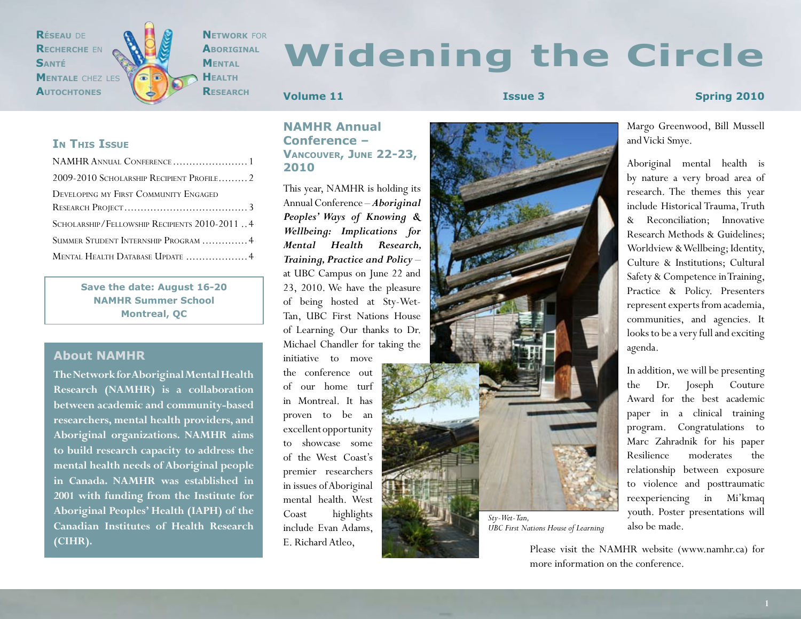**Réseau** de **RECHERCHE** EN **Santé MENTALE** CHEZ LES **AUTOCHTONES** 

**Network** for **Aboriginal Mental Health Research**

# **Widening the Circle**

#### **Volume 11 Issue 3 Spring 2010**

**IN THIS ISSUE** 

| 2009-2010 SCHOLARSHIP RECIPIENT PROFILE2     |
|----------------------------------------------|
| DEVELOPING MY FIRST COMMUNITY ENGAGED        |
|                                              |
| SCHOLARSHIP/FELLOWSHIP RECIPIENTS 2010-20114 |
| SUMMER STUDENT INTERNSHIP PROGRAM  4         |
| MENTAL HEALTH DATABASE UPDATE  4             |

**Save the date: August 16-20 NAMHR Summer School Montreal, QC**

### **About NAMHR**

**The Network for Aboriginal Mental Health Research (NAMHR) is a collaboration between academic and community-based researchers, mental health providers, and Aboriginal organizations. NAMHR aims to build research capacity to address the mental health needs of Aboriginal people in Canada. NAMHR was established in 2001 with funding from the Institute for Aboriginal Peoples' Health (IAPH) of the Canadian Institutes of Health Research (CIHR).**

#### **NAMHR Annual Conference – Vancouver, June 22-23, 2010**

This year, NAMHR is holding its Annual Conference – *Aboriginal Peoples' Ways of Knowing & Wellbeing: Implications for Mental Health Research, Training, Practice and Policy* – at UBC Campus on June 22 and 23, 2010. We have the pleasure of being hosted at Sty-Wet-Tan, UBC First Nations House of Learning. Our thanks to Dr. Michael Chandler for taking the

initiative to move the conference out of our home turf in Montreal. It has proven to be an excellent opportunity to showcase some of the West Coast's premier researchers in issues of Aboriginal mental health. West Coast highlights include Evan Adams, E. Richard Atleo,



Margo Greenwood, Bill Mussell and Vicki Smye.

Aboriginal mental health is by nature a very broad area of research. The themes this year include Historical Trauma, Truth & Reconciliation; Innovative Research Methods & Guidelines; Worldview & Wellbeing; Identity, Culture & Institutions; Cultural Safety & Competence in Training, Practice & Policy. Presenters represent experts from academia, communities, and agencies. It looks to be a very full and exciting agenda.

In addition, we will be presenting the Dr. Joseph Couture Award for the best academic paper in a clinical training program. Congratulations to Marc Zahradnik for his paper Resilience moderates the relationship between exposure to violence and posttraumatic reexperiencing in Mi'kmaq youth. Poster presentations will also be made.

Please visit the NAMHR website (www.namhr.ca) for more information on the conference.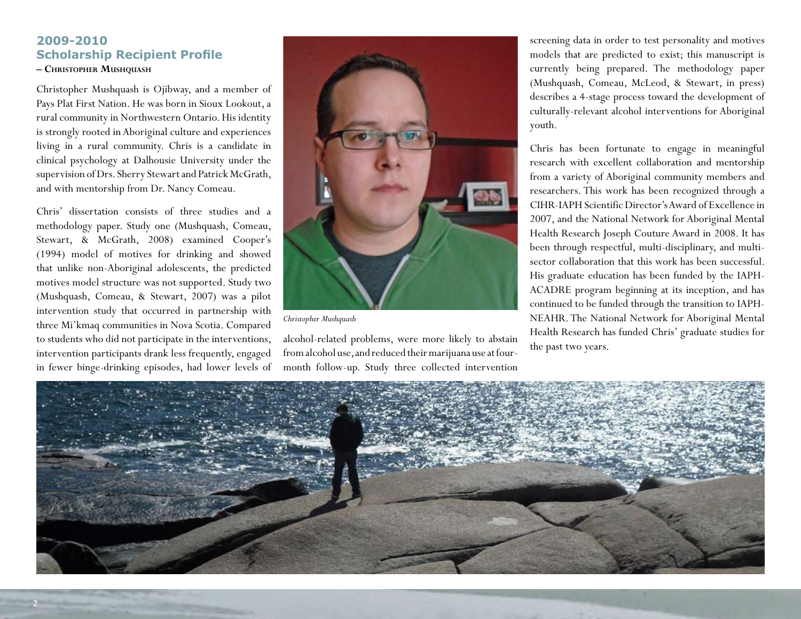# **2009-2010 Scholarship Recipient Profile**

**– Christopher Mushquash**

Christopher Mushquash is Ojibway, and a member of Pays Plat First Nation. He was born in Sioux Lookout, a rural community in Northwestern Ontario. His identity is strongly rooted in Aboriginal culture and experiences living in a rural community. Chris is a candidate in clinical psychology at Dalhousie University under the supervision of Drs. Sherry Stewart and Patrick McGrath, and with mentorship from Dr. Nancy Comeau.

Chris' dissertation consists of three studies and a methodology paper. Study one (Mushquash, Comeau, Stewart, & McGrath, 2008) examined Cooper's (1994) model of motives for drinking and showed that unlike non-Aboriginal adolescents, the predicted motives model structure was not supported. Study two (Mushquash, Comeau, & Stewart, 2007) was a pilot intervention study that occurred in partnership with three Mi'kmaq communities in Nova Scotia. Compared to students who did not participate in the interventions, intervention participants drank less frequently, engaged in fewer binge-drinking episodes, had lower levels of



*Christopher Mushquash*

alcohol-related problems, were more likely to abstain from alcohol use, and reduced their marijuana use at fourmonth follow-up. Study three collected intervention

screening data in order to test personality and motives models that are predicted to exist; this manuscript is currently being prepared. The methodology paper (Mushquash, Comeau, McLeod, & Stewart, in press) describes a 4-stage process toward the development of culturally-relevant alcohol interventions for Aboriginal youth.

Chris has been fortunate to engage in meaningful research with excellent collaboration and mentorship from a variety of Aboriginal community members and researchers. This work has been recognized through a CIHR-IAPH Scientific Director's Award of Excellence in 2007, and the National Network for Aboriginal Mental Health Research Joseph Couture Award in 2008. It has been through respectful, multi-disciplinary, and multisector collaboration that this work has been successful. His graduate education has been funded by the IAPH-ACADRE program beginning at its inception, and has continued to be funded through the transition to IAPH-NEAHR. The National Network for Aboriginal Mental Health Research has funded Chris' graduate studies for the past two years.

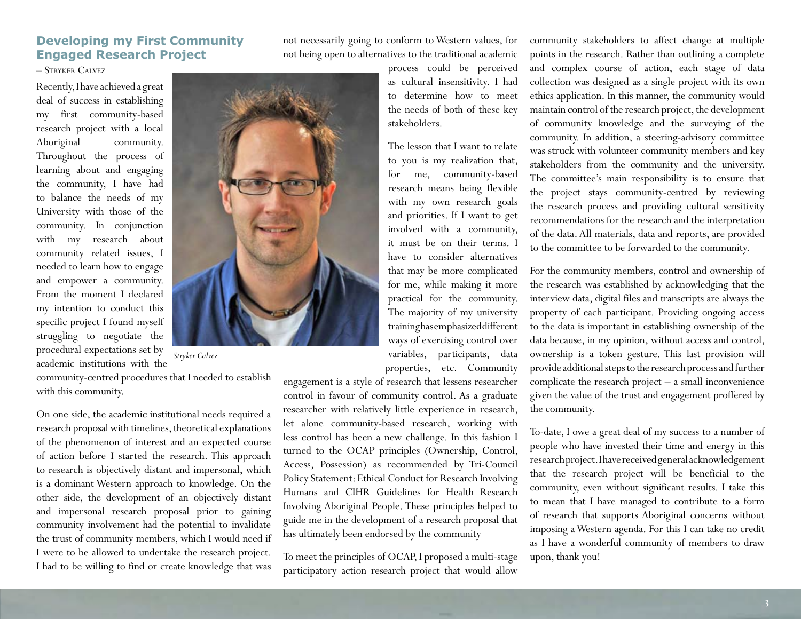## **Developing my First Community Engaged Research Project**

– Stryker Calvez

Recently, I have achieved a great deal of success in establishing my first community-based research project with a local Aboriginal community. Throughout the process of learning about and engaging the community, I have had to balance the needs of my University with those of the community. In conjunction with my research about community related issues, I needed to learn how to engage and empower a community. From the moment I declared my intention to conduct this specific project I found myself struggling to negotiate the procedural expectations set by academic institutions with the

*Stryker Calvez*

community-centred procedures that I needed to establish with this community.

On one side, the academic institutional needs required a research proposal with timelines, theoretical explanations of the phenomenon of interest and an expected course of action before I started the research. This approach to research is objectively distant and impersonal, which is a dominant Western approach to knowledge. On the other side, the development of an objectively distant and impersonal research proposal prior to gaining community involvement had the potential to invalidate the trust of community members, which I would need if I were to be allowed to undertake the research project. I had to be willing to find or create knowledge that was

not necessarily going to conform to Western values, for not being open to alternatives to the traditional academic

> process could be perceived as cultural insensitivity. I had to determine how to meet the needs of both of these key stakeholders.

The lesson that I want to relate to you is my realization that, for me, community-based research means being flexible with my own research goals and priorities. If I want to get involved with a community, it must be on their terms. I have to consider alternatives that may be more complicated for me, while making it more practical for the community. The majority of my university training has emphasized different ways of exercising control over variables, participants, data properties, etc. Community

engagement is a style of research that lessens researcher control in favour of community control. As a graduate researcher with relatively little experience in research, let alone community-based research, working with less control has been a new challenge. In this fashion I turned to the OCAP principles (Ownership, Control, Access, Possession) as recommended by Tri-Council Policy Statement: Ethical Conduct for Research Involving Humans and CIHR Guidelines for Health Research Involving Aboriginal People. These principles helped to guide me in the development of a research proposal that has ultimately been endorsed by the community

To meet the principles of OCAP, I proposed a multi-stage participatory action research project that would allow

community stakeholders to affect change at multiple points in the research. Rather than outlining a complete and complex course of action, each stage of data collection was designed as a single project with its own ethics application. In this manner, the community would maintain control of the research project, the development of community knowledge and the surveying of the community. In addition, a steering-advisory committee was struck with volunteer community members and key stakeholders from the community and the university. The committee's main responsibility is to ensure that the project stays community-centred by reviewing the research process and providing cultural sensitivity recommendations for the research and the interpretation of the data. All materials, data and reports, are provided to the committee to be forwarded to the community.

For the community members, control and ownership of the research was established by acknowledging that the interview data, digital files and transcripts are always the property of each participant. Providing ongoing access to the data is important in establishing ownership of the data because, in my opinion, without access and control, ownership is a token gesture. This last provision will provide additional steps to the research process and further complicate the research project – a small inconvenience given the value of the trust and engagement proffered by the community.

To-date, I owe a great deal of my success to a number of people who have invested their time and energy in this research project. I have received general acknowledgement that the research project will be beneficial to the community, even without significant results. I take this to mean that I have managed to contribute to a form of research that supports Aboriginal concerns without imposing a Western agenda. For this I can take no credit as I have a wonderful community of members to draw upon, thank you!